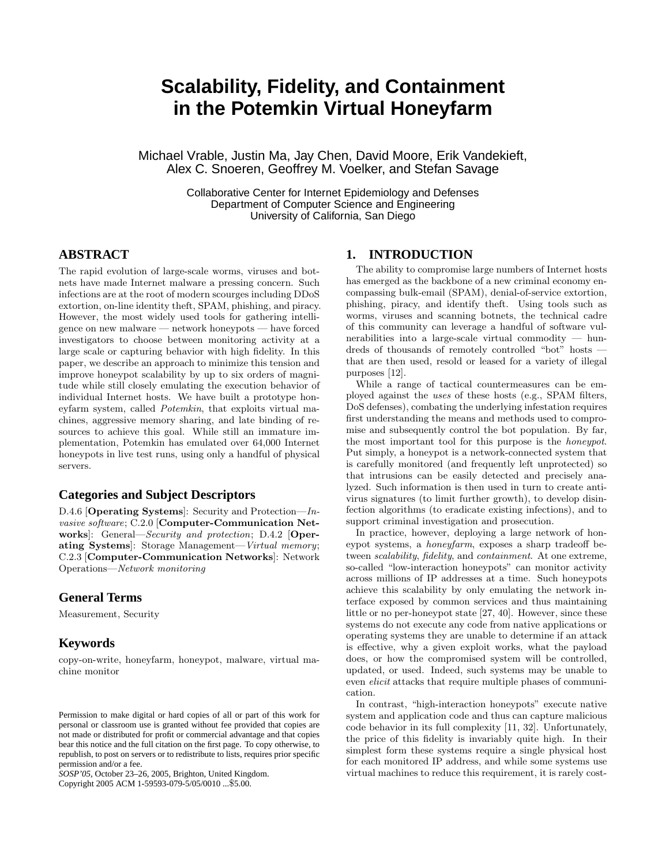# **Scalability, Fidelity, and Containment in the Potemkin Virtual Honeyfarm**

Michael Vrable, Justin Ma, Jay Chen, David Moore, Erik Vandekieft, Alex C. Snoeren, Geoffrey M. Voelker, and Stefan Savage

> Collaborative Center for Internet Epidemiology and Defenses Department of Computer Science and Engineering University of California, San Diego

# **ABSTRACT**

The rapid evolution of large-scale worms, viruses and botnets have made Internet malware a pressing concern. Such infections are at the root of modern scourges including DDoS extortion, on-line identity theft, SPAM, phishing, and piracy. However, the most widely used tools for gathering intelligence on new malware — network honeypots — have forced investigators to choose between monitoring activity at a large scale or capturing behavior with high fidelity. In this paper, we describe an approach to minimize this tension and improve honeypot scalability by up to six orders of magnitude while still closely emulating the execution behavior of individual Internet hosts. We have built a prototype honeyfarm system, called Potemkin, that exploits virtual machines, aggressive memory sharing, and late binding of resources to achieve this goal. While still an immature implementation, Potemkin has emulated over 64,000 Internet honeypots in live test runs, using only a handful of physical servers.

# **Categories and Subject Descriptors**

D.4.6 [Operating Systems]: Security and Protection—Invasive software; C.2.0 [Computer-Communication Networks]: General—Security and protection; D.4.2 [Operating Systems]: Storage Management—Virtual memory; C.2.3 [Computer-Communication Networks]: Network Operations—Network monitoring

### **General Terms**

Measurement, Security

### **Keywords**

copy-on-write, honeyfarm, honeypot, malware, virtual machine monitor

*SOSP'05,* October 23–26, 2005, Brighton, United Kingdom. Copyright 2005 ACM 1-59593-079-5/05/0010 ...\$5.00.

### **1. INTRODUCTION**

The ability to compromise large numbers of Internet hosts has emerged as the backbone of a new criminal economy encompassing bulk-email (SPAM), denial-of-service extortion, phishing, piracy, and identify theft. Using tools such as worms, viruses and scanning botnets, the technical cadre of this community can leverage a handful of software vulnerabilities into a large-scale virtual commodity — hundreds of thousands of remotely controlled "bot" hosts that are then used, resold or leased for a variety of illegal purposes [12].

While a range of tactical countermeasures can be employed against the uses of these hosts (e.g., SPAM filters, DoS defenses), combating the underlying infestation requires first understanding the means and methods used to compromise and subsequently control the bot population. By far, the most important tool for this purpose is the honeypot. Put simply, a honeypot is a network-connected system that is carefully monitored (and frequently left unprotected) so that intrusions can be easily detected and precisely analyzed. Such information is then used in turn to create antivirus signatures (to limit further growth), to develop disinfection algorithms (to eradicate existing infections), and to support criminal investigation and prosecution.

In practice, however, deploying a large network of honeypot systems, a honeyfarm, exposes a sharp tradeoff between scalability, fidelity, and containment. At one extreme, so-called "low-interaction honeypots" can monitor activity across millions of IP addresses at a time. Such honeypots achieve this scalability by only emulating the network interface exposed by common services and thus maintaining little or no per-honeypot state [27, 40]. However, since these systems do not execute any code from native applications or operating systems they are unable to determine if an attack is effective, why a given exploit works, what the payload does, or how the compromised system will be controlled, updated, or used. Indeed, such systems may be unable to even elicit attacks that require multiple phases of communication.

In contrast, "high-interaction honeypots" execute native system and application code and thus can capture malicious code behavior in its full complexity [11, 32]. Unfortunately, the price of this fidelity is invariably quite high. In their simplest form these systems require a single physical host for each monitored IP address, and while some systems use virtual machines to reduce this requirement, it is rarely cost-

Permission to make digital or hard copies of all or part of this work for personal or classroom use is granted without fee provided that copies are not made or distributed for profit or commercial advantage and that copies bear this notice and the full citation on the first page. To copy otherwise, to republish, to post on servers or to redistribute to lists, requires prior specific permission and/or a fee.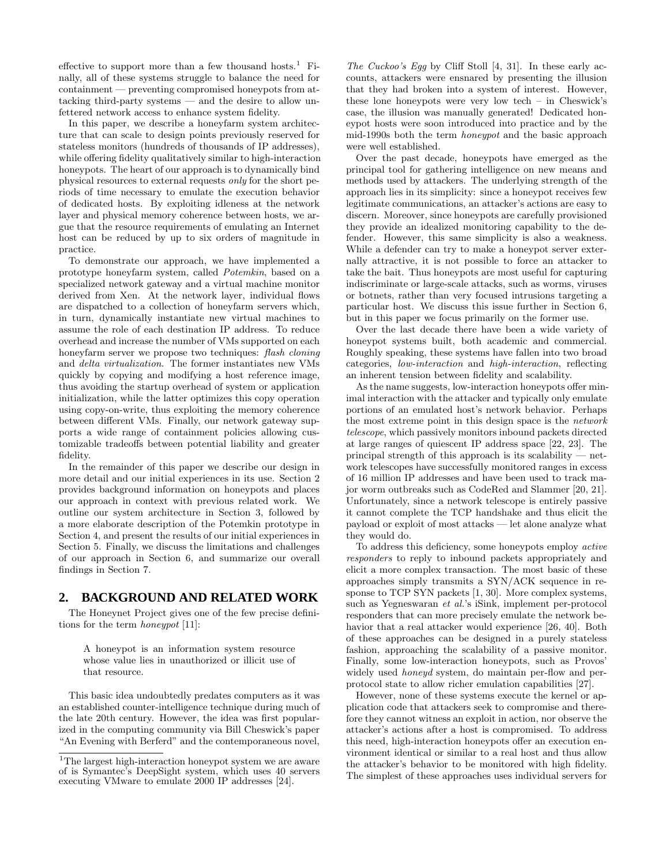effective to support more than a few thousand hosts.<sup>1</sup> Finally, all of these systems struggle to balance the need for containment — preventing compromised honeypots from attacking third-party systems — and the desire to allow unfettered network access to enhance system fidelity.

In this paper, we describe a honeyfarm system architecture that can scale to design points previously reserved for stateless monitors (hundreds of thousands of IP addresses), while offering fidelity qualitatively similar to high-interaction honeypots. The heart of our approach is to dynamically bind physical resources to external requests only for the short periods of time necessary to emulate the execution behavior of dedicated hosts. By exploiting idleness at the network layer and physical memory coherence between hosts, we argue that the resource requirements of emulating an Internet host can be reduced by up to six orders of magnitude in practice.

To demonstrate our approach, we have implemented a prototype honeyfarm system, called Potemkin, based on a specialized network gateway and a virtual machine monitor derived from Xen. At the network layer, individual flows are dispatched to a collection of honeyfarm servers which, in turn, dynamically instantiate new virtual machines to assume the role of each destination IP address. To reduce overhead and increase the number of VMs supported on each honeyfarm server we propose two techniques: flash cloning and delta virtualization. The former instantiates new VMs quickly by copying and modifying a host reference image, thus avoiding the startup overhead of system or application initialization, while the latter optimizes this copy operation using copy-on-write, thus exploiting the memory coherence between different VMs. Finally, our network gateway supports a wide range of containment policies allowing customizable tradeoffs between potential liability and greater fidelity.

In the remainder of this paper we describe our design in more detail and our initial experiences in its use. Section 2 provides background information on honeypots and places our approach in context with previous related work. We outline our system architecture in Section 3, followed by a more elaborate description of the Potemkin prototype in Section 4, and present the results of our initial experiences in Section 5. Finally, we discuss the limitations and challenges of our approach in Section 6, and summarize our overall findings in Section 7.

# **2. BACKGROUND AND RELATED WORK**

The Honeynet Project gives one of the few precise definitions for the term honeypot [11]:

A honeypot is an information system resource whose value lies in unauthorized or illicit use of that resource.

This basic idea undoubtedly predates computers as it was an established counter-intelligence technique during much of the late 20th century. However, the idea was first popularized in the computing community via Bill Cheswick's paper "An Evening with Berferd" and the contemporaneous novel,

The Cuckoo's Eqq by Cliff Stoll [4, 31]. In these early accounts, attackers were ensnared by presenting the illusion that they had broken into a system of interest. However, these lone honeypots were very low tech – in Cheswick's case, the illusion was manually generated! Dedicated honeypot hosts were soon introduced into practice and by the mid-1990s both the term honeypot and the basic approach were well established.

Over the past decade, honeypots have emerged as the principal tool for gathering intelligence on new means and methods used by attackers. The underlying strength of the approach lies in its simplicity: since a honeypot receives few legitimate communications, an attacker's actions are easy to discern. Moreover, since honeypots are carefully provisioned they provide an idealized monitoring capability to the defender. However, this same simplicity is also a weakness. While a defender can try to make a honeypot server externally attractive, it is not possible to force an attacker to take the bait. Thus honeypots are most useful for capturing indiscriminate or large-scale attacks, such as worms, viruses or botnets, rather than very focused intrusions targeting a particular host. We discuss this issue further in Section 6, but in this paper we focus primarily on the former use.

Over the last decade there have been a wide variety of honeypot systems built, both academic and commercial. Roughly speaking, these systems have fallen into two broad categories, low-interaction and high-interaction, reflecting an inherent tension between fidelity and scalability.

As the name suggests, low-interaction honeypots offer minimal interaction with the attacker and typically only emulate portions of an emulated host's network behavior. Perhaps the most extreme point in this design space is the network telescope, which passively monitors inbound packets directed at large ranges of quiescent IP address space [22, 23]. The principal strength of this approach is its scalability  $-$  network telescopes have successfully monitored ranges in excess of 16 million IP addresses and have been used to track major worm outbreaks such as CodeRed and Slammer [20, 21]. Unfortunately, since a network telescope is entirely passive it cannot complete the TCP handshake and thus elicit the payload or exploit of most attacks — let alone analyze what they would do.

To address this deficiency, some honeypots employ active responders to reply to inbound packets appropriately and elicit a more complex transaction. The most basic of these approaches simply transmits a SYN/ACK sequence in response to TCP SYN packets [1, 30]. More complex systems, such as Yegneswaran et al.'s iSink, implement per-protocol responders that can more precisely emulate the network behavior that a real attacker would experience [26, 40]. Both of these approaches can be designed in a purely stateless fashion, approaching the scalability of a passive monitor. Finally, some low-interaction honeypots, such as Provos' widely used *honeyd* system, do maintain per-flow and perprotocol state to allow richer emulation capabilities [27].

However, none of these systems execute the kernel or application code that attackers seek to compromise and therefore they cannot witness an exploit in action, nor observe the attacker's actions after a host is compromised. To address this need, high-interaction honeypots offer an execution environment identical or similar to a real host and thus allow the attacker's behavior to be monitored with high fidelity. The simplest of these approaches uses individual servers for

 $^{\rm 1}{\rm The}$  largest high-interaction honeypot system we are aware of is Symantec's DeepSight system, which uses 40 servers executing VMware to emulate 2000 IP addresses [24].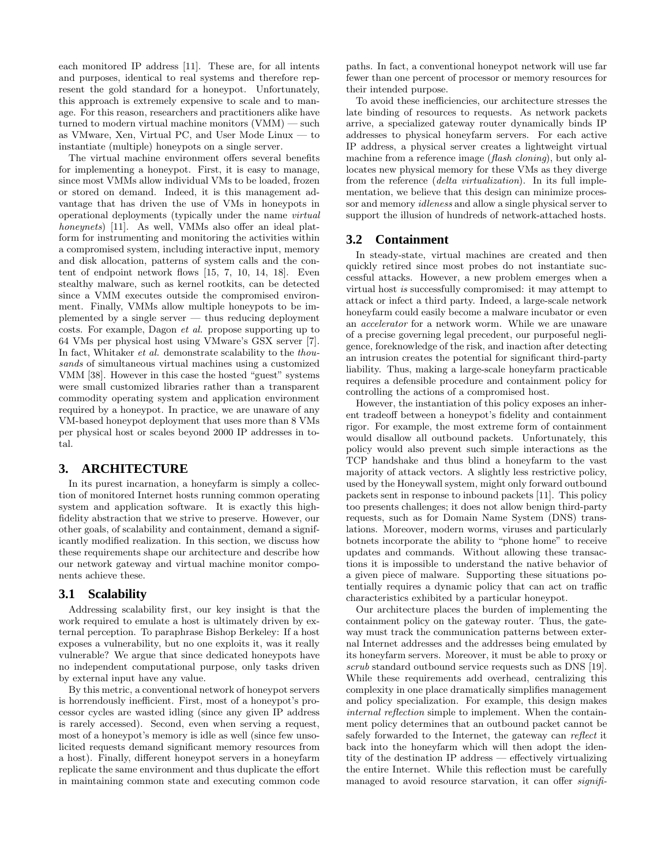each monitored IP address [11]. These are, for all intents and purposes, identical to real systems and therefore represent the gold standard for a honeypot. Unfortunately, this approach is extremely expensive to scale and to manage. For this reason, researchers and practitioners alike have turned to modern virtual machine monitors (VMM) — such as VMware, Xen, Virtual PC, and User Mode Linux — to instantiate (multiple) honeypots on a single server.

The virtual machine environment offers several benefits for implementing a honeypot. First, it is easy to manage, since most VMMs allow individual VMs to be loaded, frozen or stored on demand. Indeed, it is this management advantage that has driven the use of VMs in honeypots in operational deployments (typically under the name virtual honeynets) [11]. As well, VMMs also offer an ideal platform for instrumenting and monitoring the activities within a compromised system, including interactive input, memory and disk allocation, patterns of system calls and the content of endpoint network flows [15, 7, 10, 14, 18]. Even stealthy malware, such as kernel rootkits, can be detected since a VMM executes outside the compromised environment. Finally, VMMs allow multiple honeypots to be implemented by a single server — thus reducing deployment costs. For example, Dagon et al. propose supporting up to 64 VMs per physical host using VMware's GSX server [7]. In fact, Whitaker *et al.* demonstrate scalability to the *thou*sands of simultaneous virtual machines using a customized VMM [38]. However in this case the hosted "guest" systems were small customized libraries rather than a transparent commodity operating system and application environment required by a honeypot. In practice, we are unaware of any VM-based honeypot deployment that uses more than 8 VMs per physical host or scales beyond 2000 IP addresses in total.

# **3. ARCHITECTURE**

In its purest incarnation, a honeyfarm is simply a collection of monitored Internet hosts running common operating system and application software. It is exactly this highfidelity abstraction that we strive to preserve. However, our other goals, of scalability and containment, demand a significantly modified realization. In this section, we discuss how these requirements shape our architecture and describe how our network gateway and virtual machine monitor components achieve these.

### **3.1 Scalability**

Addressing scalability first, our key insight is that the work required to emulate a host is ultimately driven by external perception. To paraphrase Bishop Berkeley: If a host exposes a vulnerability, but no one exploits it, was it really vulnerable? We argue that since dedicated honeypots have no independent computational purpose, only tasks driven by external input have any value.

By this metric, a conventional network of honeypot servers is horrendously inefficient. First, most of a honeypot's processor cycles are wasted idling (since any given IP address is rarely accessed). Second, even when serving a request, most of a honeypot's memory is idle as well (since few unsolicited requests demand significant memory resources from a host). Finally, different honeypot servers in a honeyfarm replicate the same environment and thus duplicate the effort in maintaining common state and executing common code paths. In fact, a conventional honeypot network will use far fewer than one percent of processor or memory resources for their intended purpose.

To avoid these inefficiencies, our architecture stresses the late binding of resources to requests. As network packets arrive, a specialized gateway router dynamically binds IP addresses to physical honeyfarm servers. For each active IP address, a physical server creates a lightweight virtual machine from a reference image (*flash cloning*), but only allocates new physical memory for these VMs as they diverge from the reference *(delta virtualization)*. In its full implementation, we believe that this design can minimize processor and memory idleness and allow a single physical server to support the illusion of hundreds of network-attached hosts.

# **3.2 Containment**

In steady-state, virtual machines are created and then quickly retired since most probes do not instantiate successful attacks. However, a new problem emerges when a virtual host is successfully compromised: it may attempt to attack or infect a third party. Indeed, a large-scale network honeyfarm could easily become a malware incubator or even an accelerator for a network worm. While we are unaware of a precise governing legal precedent, our purposeful negligence, foreknowledge of the risk, and inaction after detecting an intrusion creates the potential for significant third-party liability. Thus, making a large-scale honeyfarm practicable requires a defensible procedure and containment policy for controlling the actions of a compromised host.

However, the instantiation of this policy exposes an inherent tradeoff between a honeypot's fidelity and containment rigor. For example, the most extreme form of containment would disallow all outbound packets. Unfortunately, this policy would also prevent such simple interactions as the TCP handshake and thus blind a honeyfarm to the vast majority of attack vectors. A slightly less restrictive policy, used by the Honeywall system, might only forward outbound packets sent in response to inbound packets [11]. This policy too presents challenges; it does not allow benign third-party requests, such as for Domain Name System (DNS) translations. Moreover, modern worms, viruses and particularly botnets incorporate the ability to "phone home" to receive updates and commands. Without allowing these transactions it is impossible to understand the native behavior of a given piece of malware. Supporting these situations potentially requires a dynamic policy that can act on traffic characteristics exhibited by a particular honeypot.

Our architecture places the burden of implementing the containment policy on the gateway router. Thus, the gateway must track the communication patterns between external Internet addresses and the addresses being emulated by its honeyfarm servers. Moreover, it must be able to proxy or scrub standard outbound service requests such as DNS [19]. While these requirements add overhead, centralizing this complexity in one place dramatically simplifies management and policy specialization. For example, this design makes internal reflection simple to implement. When the containment policy determines that an outbound packet cannot be safely forwarded to the Internet, the gateway can reflect it back into the honeyfarm which will then adopt the identity of the destination IP address — effectively virtualizing the entire Internet. While this reflection must be carefully managed to avoid resource starvation, it can offer *signifi*-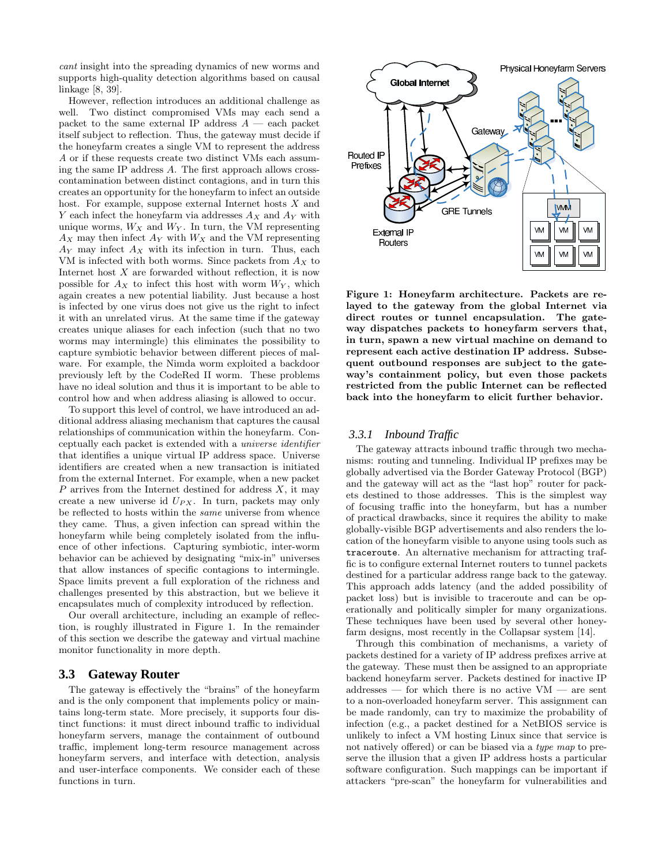cant insight into the spreading dynamics of new worms and supports high-quality detection algorithms based on causal linkage [8, 39].

However, reflection introduces an additional challenge as well. Two distinct compromised VMs may each send a packet to the same external IP address  $A$  — each packet itself subject to reflection. Thus, the gateway must decide if the honeyfarm creates a single VM to represent the address A or if these requests create two distinct VMs each assuming the same IP address A. The first approach allows crosscontamination between distinct contagions, and in turn this creates an opportunity for the honeyfarm to infect an outside host. For example, suppose external Internet hosts X and Y each infect the honeyfarm via addresses  $A_X$  and  $A_Y$  with unique worms,  $W_X$  and  $W_Y$ . In turn, the VM representing  $A_X$  may then infect  $A_Y$  with  $W_X$  and the VM representing  $A_Y$  may infect  $A_X$  with its infection in turn. Thus, each VM is infected with both worms. Since packets from  $A_X$  to Internet host  $X$  are forwarded without reflection, it is now possible for  $A_X$  to infect this host with worm  $W_Y$ , which again creates a new potential liability. Just because a host is infected by one virus does not give us the right to infect it with an unrelated virus. At the same time if the gateway creates unique aliases for each infection (such that no two worms may intermingle) this eliminates the possibility to capture symbiotic behavior between different pieces of malware. For example, the Nimda worm exploited a backdoor previously left by the CodeRed II worm. These problems have no ideal solution and thus it is important to be able to control how and when address aliasing is allowed to occur.

To support this level of control, we have introduced an additional address aliasing mechanism that captures the causal relationships of communication within the honeyfarm. Conceptually each packet is extended with a universe identifier that identifies a unique virtual IP address space. Universe identifiers are created when a new transaction is initiated from the external Internet. For example, when a new packet  $P$  arrives from the Internet destined for address  $X$ , it may create a new universe id  $U_{PX}$ . In turn, packets may only be reflected to hosts within the same universe from whence they came. Thus, a given infection can spread within the honeyfarm while being completely isolated from the influence of other infections. Capturing symbiotic, inter-worm behavior can be achieved by designating "mix-in" universes that allow instances of specific contagions to intermingle. Space limits prevent a full exploration of the richness and challenges presented by this abstraction, but we believe it encapsulates much of complexity introduced by reflection.

Our overall architecture, including an example of reflection, is roughly illustrated in Figure 1. In the remainder of this section we describe the gateway and virtual machine monitor functionality in more depth.

### **3.3 Gateway Router**

The gateway is effectively the "brains" of the honeyfarm and is the only component that implements policy or maintains long-term state. More precisely, it supports four distinct functions: it must direct inbound traffic to individual honeyfarm servers, manage the containment of outbound traffic, implement long-term resource management across honeyfarm servers, and interface with detection, analysis and user-interface components. We consider each of these functions in turn.



Figure 1: Honeyfarm architecture. Packets are relayed to the gateway from the global Internet via direct routes or tunnel encapsulation. The gateway dispatches packets to honeyfarm servers that, in turn, spawn a new virtual machine on demand to represent each active destination IP address. Subsequent outbound responses are subject to the gateway's containment policy, but even those packets restricted from the public Internet can be reflected back into the honeyfarm to elicit further behavior.

#### *3.3.1 Inbound Traffic*

The gateway attracts inbound traffic through two mechanisms: routing and tunneling. Individual IP prefixes may be globally advertised via the Border Gateway Protocol (BGP) and the gateway will act as the "last hop" router for packets destined to those addresses. This is the simplest way of focusing traffic into the honeyfarm, but has a number of practical drawbacks, since it requires the ability to make globally-visible BGP advertisements and also renders the location of the honeyfarm visible to anyone using tools such as traceroute. An alternative mechanism for attracting traffic is to configure external Internet routers to tunnel packets destined for a particular address range back to the gateway. This approach adds latency (and the added possibility of packet loss) but is invisible to traceroute and can be operationally and politically simpler for many organizations. These techniques have been used by several other honeyfarm designs, most recently in the Collapsar system [14].

Through this combination of mechanisms, a variety of packets destined for a variety of IP address prefixes arrive at the gateway. These must then be assigned to an appropriate backend honeyfarm server. Packets destined for inactive IP  $addresses$  — for which there is no active  $VM$  — are sent to a non-overloaded honeyfarm server. This assignment can be made randomly, can try to maximize the probability of infection (e.g., a packet destined for a NetBIOS service is unlikely to infect a VM hosting Linux since that service is not natively offered) or can be biased via a type map to preserve the illusion that a given IP address hosts a particular software configuration. Such mappings can be important if attackers "pre-scan" the honeyfarm for vulnerabilities and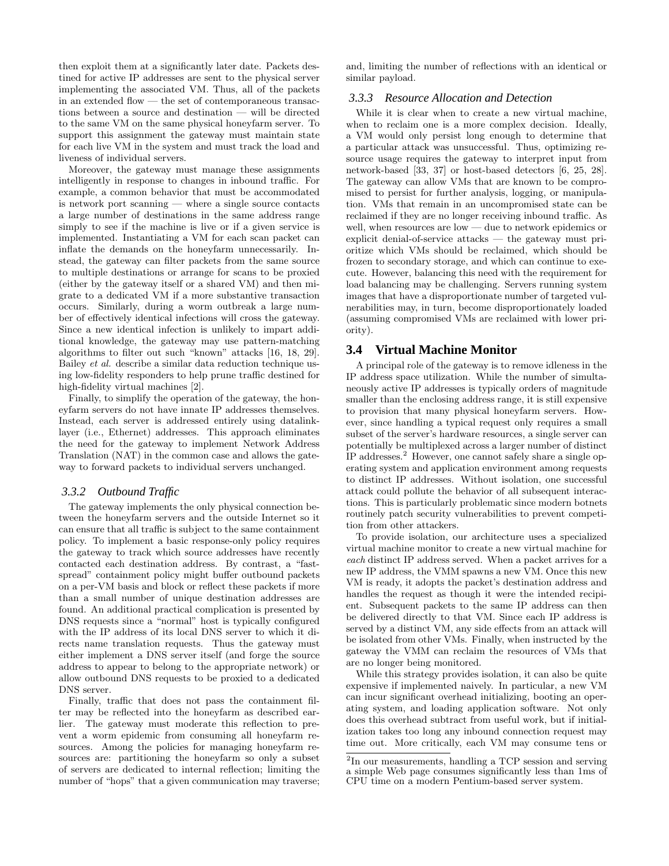then exploit them at a significantly later date. Packets destined for active IP addresses are sent to the physical server implementing the associated VM. Thus, all of the packets in an extended flow — the set of contemporaneous transactions between a source and destination — will be directed to the same VM on the same physical honeyfarm server. To support this assignment the gateway must maintain state for each live VM in the system and must track the load and liveness of individual servers.

Moreover, the gateway must manage these assignments intelligently in response to changes in inbound traffic. For example, a common behavior that must be accommodated is network port scanning — where a single source contacts a large number of destinations in the same address range simply to see if the machine is live or if a given service is implemented. Instantiating a VM for each scan packet can inflate the demands on the honeyfarm unnecessarily. Instead, the gateway can filter packets from the same source to multiple destinations or arrange for scans to be proxied (either by the gateway itself or a shared VM) and then migrate to a dedicated VM if a more substantive transaction occurs. Similarly, during a worm outbreak a large number of effectively identical infections will cross the gateway. Since a new identical infection is unlikely to impart additional knowledge, the gateway may use pattern-matching algorithms to filter out such "known" attacks [16, 18, 29]. Bailey et al. describe a similar data reduction technique using low-fidelity responders to help prune traffic destined for high-fidelity virtual machines [2].

Finally, to simplify the operation of the gateway, the honeyfarm servers do not have innate IP addresses themselves. Instead, each server is addressed entirely using datalinklayer (i.e., Ethernet) addresses. This approach eliminates the need for the gateway to implement Network Address Translation (NAT) in the common case and allows the gateway to forward packets to individual servers unchanged.

# *3.3.2 Outbound Traffic*

The gateway implements the only physical connection between the honeyfarm servers and the outside Internet so it can ensure that all traffic is subject to the same containment policy. To implement a basic response-only policy requires the gateway to track which source addresses have recently contacted each destination address. By contrast, a "fastspread" containment policy might buffer outbound packets on a per-VM basis and block or reflect these packets if more than a small number of unique destination addresses are found. An additional practical complication is presented by DNS requests since a "normal" host is typically configured with the IP address of its local DNS server to which it directs name translation requests. Thus the gateway must either implement a DNS server itself (and forge the source address to appear to belong to the appropriate network) or allow outbound DNS requests to be proxied to a dedicated DNS server.

Finally, traffic that does not pass the containment filter may be reflected into the honeyfarm as described earlier. The gateway must moderate this reflection to prevent a worm epidemic from consuming all honeyfarm resources. Among the policies for managing honeyfarm resources are: partitioning the honeyfarm so only a subset of servers are dedicated to internal reflection; limiting the number of "hops" that a given communication may traverse; and, limiting the number of reflections with an identical or similar payload.

#### *3.3.3 Resource Allocation and Detection*

While it is clear when to create a new virtual machine, when to reclaim one is a more complex decision. Ideally, a VM would only persist long enough to determine that a particular attack was unsuccessful. Thus, optimizing resource usage requires the gateway to interpret input from network-based [33, 37] or host-based detectors [6, 25, 28]. The gateway can allow VMs that are known to be compromised to persist for further analysis, logging, or manipulation. VMs that remain in an uncompromised state can be reclaimed if they are no longer receiving inbound traffic. As well, when resources are low — due to network epidemics or explicit denial-of-service attacks — the gateway must prioritize which VMs should be reclaimed, which should be frozen to secondary storage, and which can continue to execute. However, balancing this need with the requirement for load balancing may be challenging. Servers running system images that have a disproportionate number of targeted vulnerabilities may, in turn, become disproportionately loaded (assuming compromised VMs are reclaimed with lower priority).

### **3.4 Virtual Machine Monitor**

A principal role of the gateway is to remove idleness in the IP address space utilization. While the number of simultaneously active IP addresses is typically orders of magnitude smaller than the enclosing address range, it is still expensive to provision that many physical honeyfarm servers. However, since handling a typical request only requires a small subset of the server's hardware resources, a single server can potentially be multiplexed across a larger number of distinct IP addresses.<sup>2</sup> However, one cannot safely share a single operating system and application environment among requests to distinct IP addresses. Without isolation, one successful attack could pollute the behavior of all subsequent interactions. This is particularly problematic since modern botnets routinely patch security vulnerabilities to prevent competition from other attackers.

To provide isolation, our architecture uses a specialized virtual machine monitor to create a new virtual machine for each distinct IP address served. When a packet arrives for a new IP address, the VMM spawns a new VM. Once this new VM is ready, it adopts the packet's destination address and handles the request as though it were the intended recipient. Subsequent packets to the same IP address can then be delivered directly to that VM. Since each IP address is served by a distinct VM, any side effects from an attack will be isolated from other VMs. Finally, when instructed by the gateway the VMM can reclaim the resources of VMs that are no longer being monitored.

While this strategy provides isolation, it can also be quite expensive if implemented naively. In particular, a new VM can incur significant overhead initializing, booting an operating system, and loading application software. Not only does this overhead subtract from useful work, but if initialization takes too long any inbound connection request may time out. More critically, each VM may consume tens or

<sup>&</sup>lt;sup>2</sup>In our measurements, handling a TCP session and serving a simple Web page consumes significantly less than 1ms of CPU time on a modern Pentium-based server system.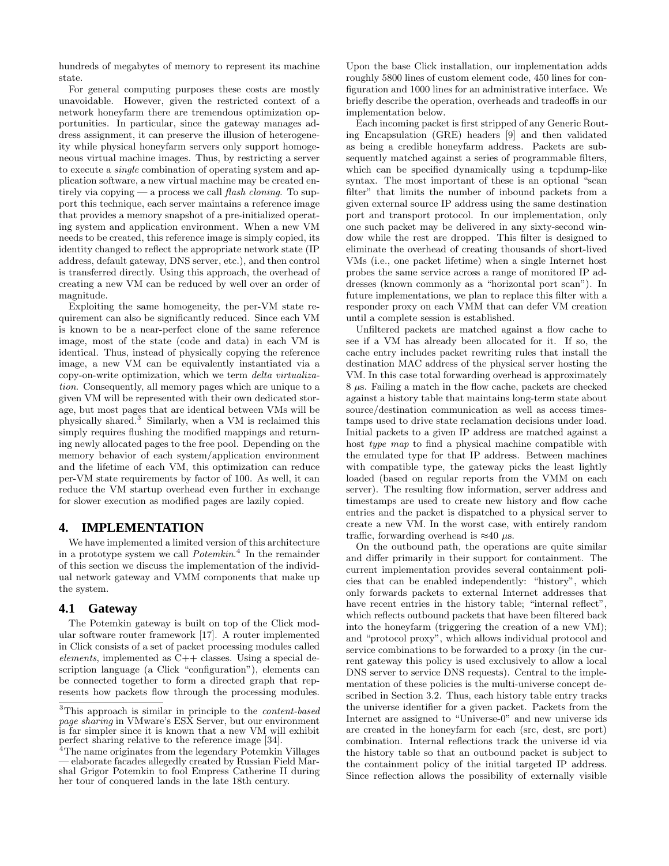hundreds of megabytes of memory to represent its machine state.

For general computing purposes these costs are mostly unavoidable. However, given the restricted context of a network honeyfarm there are tremendous optimization opportunities. In particular, since the gateway manages address assignment, it can preserve the illusion of heterogeneity while physical honeyfarm servers only support homogeneous virtual machine images. Thus, by restricting a server to execute a single combination of operating system and application software, a new virtual machine may be created entirely via copying — a process we call flash cloning. To support this technique, each server maintains a reference image that provides a memory snapshot of a pre-initialized operating system and application environment. When a new VM needs to be created, this reference image is simply copied, its identity changed to reflect the appropriate network state (IP address, default gateway, DNS server, etc.), and then control is transferred directly. Using this approach, the overhead of creating a new VM can be reduced by well over an order of magnitude.

Exploiting the same homogeneity, the per-VM state requirement can also be significantly reduced. Since each VM is known to be a near-perfect clone of the same reference image, most of the state (code and data) in each VM is identical. Thus, instead of physically copying the reference image, a new VM can be equivalently instantiated via a copy-on-write optimization, which we term delta virtualization. Consequently, all memory pages which are unique to a given VM will be represented with their own dedicated storage, but most pages that are identical between VMs will be physically shared.<sup>3</sup> Similarly, when a VM is reclaimed this simply requires flushing the modified mappings and returning newly allocated pages to the free pool. Depending on the memory behavior of each system/application environment and the lifetime of each VM, this optimization can reduce per-VM state requirements by factor of 100. As well, it can reduce the VM startup overhead even further in exchange for slower execution as modified pages are lazily copied.

### **4. IMPLEMENTATION**

We have implemented a limited version of this architecture in a prototype system we call  $Potemkin$ <sup>4</sup> In the remainder of this section we discuss the implementation of the individual network gateway and VMM components that make up the system.

#### **4.1 Gateway**

The Potemkin gateway is built on top of the Click modular software router framework [17]. A router implemented in Click consists of a set of packet processing modules called elements, implemented as  $C++$  classes. Using a special description language (a Click "configuration"), elements can be connected together to form a directed graph that represents how packets flow through the processing modules. Upon the base Click installation, our implementation adds roughly 5800 lines of custom element code, 450 lines for configuration and 1000 lines for an administrative interface. We briefly describe the operation, overheads and tradeoffs in our implementation below.

Each incoming packet is first stripped of any Generic Routing Encapsulation (GRE) headers [9] and then validated as being a credible honeyfarm address. Packets are subsequently matched against a series of programmable filters, which can be specified dynamically using a tcpdump-like syntax. The most important of these is an optional "scan filter" that limits the number of inbound packets from a given external source IP address using the same destination port and transport protocol. In our implementation, only one such packet may be delivered in any sixty-second window while the rest are dropped. This filter is designed to eliminate the overhead of creating thousands of short-lived VMs (i.e., one packet lifetime) when a single Internet host probes the same service across a range of monitored IP addresses (known commonly as a "horizontal port scan"). In future implementations, we plan to replace this filter with a responder proxy on each VMM that can defer VM creation until a complete session is established.

Unfiltered packets are matched against a flow cache to see if a VM has already been allocated for it. If so, the cache entry includes packet rewriting rules that install the destination MAC address of the physical server hosting the VM. In this case total forwarding overhead is approximately 8 µs. Failing a match in the flow cache, packets are checked against a history table that maintains long-term state about source/destination communication as well as access timestamps used to drive state reclamation decisions under load. Initial packets to a given IP address are matched against a host type map to find a physical machine compatible with the emulated type for that IP address. Between machines with compatible type, the gateway picks the least lightly loaded (based on regular reports from the VMM on each server). The resulting flow information, server address and timestamps are used to create new history and flow cache entries and the packet is dispatched to a physical server to create a new VM. In the worst case, with entirely random traffic, forwarding overhead is  $\approx 40 \mu s$ .

On the outbound path, the operations are quite similar and differ primarily in their support for containment. The current implementation provides several containment policies that can be enabled independently: "history", which only forwards packets to external Internet addresses that have recent entries in the history table; "internal reflect", which reflects outbound packets that have been filtered back into the honeyfarm (triggering the creation of a new VM); and "protocol proxy", which allows individual protocol and service combinations to be forwarded to a proxy (in the current gateway this policy is used exclusively to allow a local DNS server to service DNS requests). Central to the implementation of these policies is the multi-universe concept described in Section 3.2. Thus, each history table entry tracks the universe identifier for a given packet. Packets from the Internet are assigned to "Universe-0" and new universe ids are created in the honeyfarm for each (src, dest, src port) combination. Internal reflections track the universe id via the history table so that an outbound packet is subject to the containment policy of the initial targeted IP address. Since reflection allows the possibility of externally visible

<sup>&</sup>lt;sup>3</sup>This approach is similar in principle to the *content-based* page sharing in VMware's ESX Server, but our environment is far simpler since it is known that a new VM will exhibit perfect sharing relative to the reference image [34].

The name originates from the legendary Potemkin Villages — elaborate facades allegedly created by Russian Field Marshal Grigor Potemkin to fool Empress Catherine II during her tour of conquered lands in the late 18th century.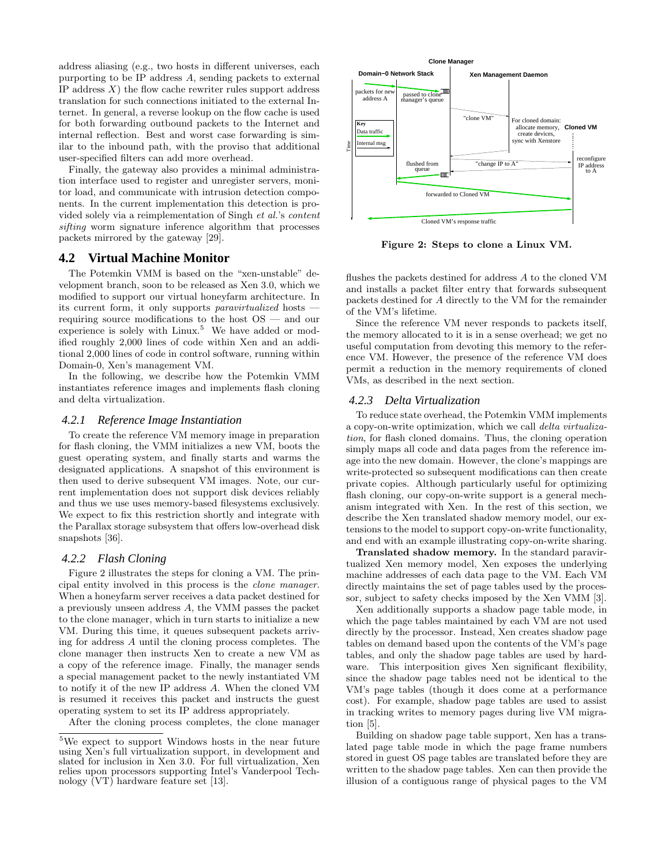address aliasing (e.g., two hosts in different universes, each purporting to be IP address A, sending packets to external IP address  $X$ ) the flow cache rewriter rules support address translation for such connections initiated to the external Internet. In general, a reverse lookup on the flow cache is used for both forwarding outbound packets to the Internet and internal reflection. Best and worst case forwarding is similar to the inbound path, with the proviso that additional user-specified filters can add more overhead.

Finally, the gateway also provides a minimal administration interface used to register and unregister servers, monitor load, and communicate with intrusion detection components. In the current implementation this detection is provided solely via a reimplementation of Singh et al.'s content sifting worm signature inference algorithm that processes packets mirrored by the gateway [29].

### **4.2 Virtual Machine Monitor**

The Potemkin VMM is based on the "xen-unstable" development branch, soon to be released as Xen 3.0, which we modified to support our virtual honeyfarm architecture. In its current form, it only supports paravirtualized hosts requiring source modifications to the host OS — and our experience is solely with Linux.<sup>5</sup> We have added or modified roughly 2,000 lines of code within Xen and an additional 2,000 lines of code in control software, running within Domain-0, Xen's management VM.

In the following, we describe how the Potemkin VMM instantiates reference images and implements flash cloning and delta virtualization.

#### *4.2.1 Reference Image Instantiation*

To create the reference VM memory image in preparation for flash cloning, the VMM initializes a new VM, boots the guest operating system, and finally starts and warms the designated applications. A snapshot of this environment is then used to derive subsequent VM images. Note, our current implementation does not support disk devices reliably and thus we use uses memory-based filesystems exclusively. We expect to fix this restriction shortly and integrate with the Parallax storage subsystem that offers low-overhead disk snapshots [36].

#### *4.2.2 Flash Cloning*

Figure 2 illustrates the steps for cloning a VM. The principal entity involved in this process is the clone manager. When a honeyfarm server receives a data packet destined for a previously unseen address A, the VMM passes the packet to the clone manager, which in turn starts to initialize a new VM. During this time, it queues subsequent packets arriving for address A until the cloning process completes. The clone manager then instructs Xen to create a new VM as a copy of the reference image. Finally, the manager sends a special management packet to the newly instantiated VM to notify it of the new IP address A. When the cloned VM is resumed it receives this packet and instructs the guest operating system to set its IP address appropriately.

After the cloning process completes, the clone manager



Figure 2: Steps to clone a Linux VM.

flushes the packets destined for address A to the cloned VM and installs a packet filter entry that forwards subsequent packets destined for A directly to the VM for the remainder of the VM's lifetime.

Since the reference VM never responds to packets itself, the memory allocated to it is in a sense overhead; we get no useful computation from devoting this memory to the reference VM. However, the presence of the reference VM does permit a reduction in the memory requirements of cloned VMs, as described in the next section.

#### *4.2.3 Delta Virtualization*

To reduce state overhead, the Potemkin VMM implements a copy-on-write optimization, which we call delta virtualization, for flash cloned domains. Thus, the cloning operation simply maps all code and data pages from the reference image into the new domain. However, the clone's mappings are write-protected so subsequent modifications can then create private copies. Although particularly useful for optimizing flash cloning, our copy-on-write support is a general mechanism integrated with Xen. In the rest of this section, we describe the Xen translated shadow memory model, our extensions to the model to support copy-on-write functionality, and end with an example illustrating copy-on-write sharing.

Translated shadow memory. In the standard paravirtualized Xen memory model, Xen exposes the underlying machine addresses of each data page to the VM. Each VM directly maintains the set of page tables used by the processor, subject to safety checks imposed by the Xen VMM [3].

Xen additionally supports a shadow page table mode, in which the page tables maintained by each VM are not used directly by the processor. Instead, Xen creates shadow page tables on demand based upon the contents of the VM's page tables, and only the shadow page tables are used by hardware. This interposition gives Xen significant flexibility, since the shadow page tables need not be identical to the VM's page tables (though it does come at a performance cost). For example, shadow page tables are used to assist in tracking writes to memory pages during live VM migration [5].

Building on shadow page table support, Xen has a translated page table mode in which the page frame numbers stored in guest OS page tables are translated before they are written to the shadow page tables. Xen can then provide the illusion of a contiguous range of physical pages to the VM

<sup>5</sup>We expect to support Windows hosts in the near future using Xen's full virtualization support, in development and slated for inclusion in Xen 3.0. For full virtualization, Xen relies upon processors supporting Intel's Vanderpool Technology (VT) hardware feature set [13].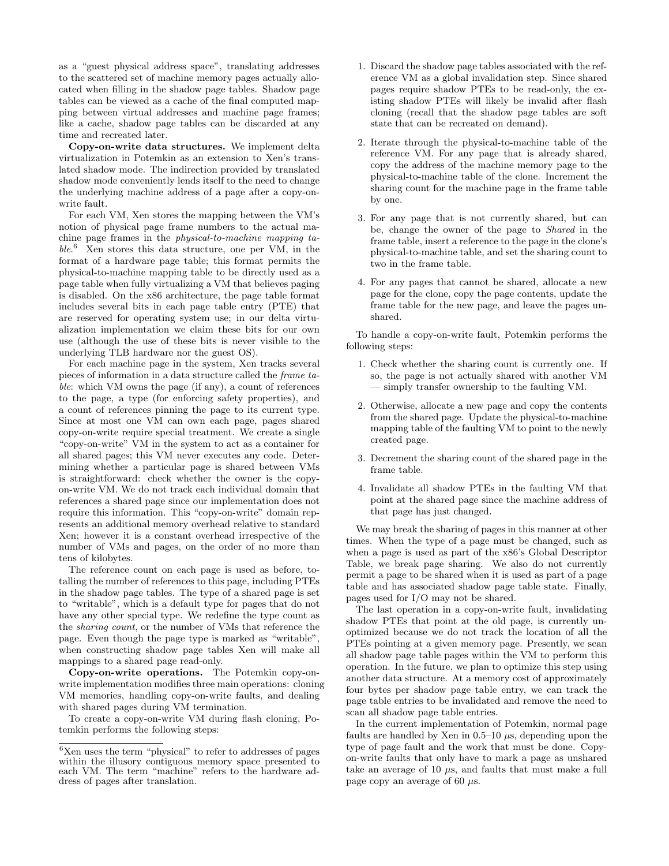as a "guest physical address space", translating addresses to the scattered set of machine memory pages actually allocated when filling in the shadow page tables. Shadow page tables can be viewed as a cache of the final computed mapping between virtual addresses and machine page frames; like a cache, shadow page tables can be discarded at any time and recreated later.

Copy-on-write data structures. We implement delta virtualization in Potemkin as an extension to Xen's translated shadow mode. The indirection provided by translated shadow mode conveniently lends itself to the need to change the underlying machine address of a page after a copy-onwrite fault.

For each VM, Xen stores the mapping between the VM's notion of physical page frame numbers to the actual machine page frames in the physical-to-machine mapping table. <sup>6</sup> Xen stores this data structure, one per VM, in the format of a hardware page table; this format permits the physical-to-machine mapping table to be directly used as a page table when fully virtualizing a VM that believes paging is disabled. On the x86 architecture, the page table format includes several bits in each page table entry (PTE) that are reserved for operating system use; in our delta virtualization implementation we claim these bits for our own use (although the use of these bits is never visible to the underlying TLB hardware nor the guest OS).

For each machine page in the system, Xen tracks several pieces of information in a data structure called the frame table: which VM owns the page (if any), a count of references to the page, a type (for enforcing safety properties), and a count of references pinning the page to its current type. Since at most one VM can own each page, pages shared copy-on-write require special treatment. We create a single "copy-on-write" VM in the system to act as a container for all shared pages; this VM never executes any code. Determining whether a particular page is shared between VMs is straightforward: check whether the owner is the copyon-write VM. We do not track each individual domain that references a shared page since our implementation does not require this information. This "copy-on-write" domain represents an additional memory overhead relative to standard Xen; however it is a constant overhead irrespective of the number of VMs and pages, on the order of no more than tens of kilobytes.

The reference count on each page is used as before, totalling the number of references to this page, including PTEs in the shadow page tables. The type of a shared page is set to "writable", which is a default type for pages that do not have any other special type. We redefine the type count as the sharing count, or the number of VMs that reference the page. Even though the page type is marked as "writable", when constructing shadow page tables Xen will make all mappings to a shared page read-only.

Copy-on-write operations. The Potemkin copy-onwrite implementation modifies three main operations: cloning VM memories, handling copy-on-write faults, and dealing with shared pages during VM termination.

To create a copy-on-write VM during flash cloning, Potemkin performs the following steps:

- 1. Discard the shadow page tables associated with the reference VM as a global invalidation step. Since shared pages require shadow PTEs to be read-only, the existing shadow PTEs will likely be invalid after flash cloning (recall that the shadow page tables are soft state that can be recreated on demand).
- 2. Iterate through the physical-to-machine table of the reference VM. For any page that is already shared, copy the address of the machine memory page to the physical-to-machine table of the clone. Increment the sharing count for the machine page in the frame table by one.
- 3. For any page that is not currently shared, but can be, change the owner of the page to Shared in the frame table, insert a reference to the page in the clone's physical-to-machine table, and set the sharing count to two in the frame table.
- 4. For any pages that cannot be shared, allocate a new page for the clone, copy the page contents, update the frame table for the new page, and leave the pages unshared.

To handle a copy-on-write fault, Potemkin performs the following steps:

- 1. Check whether the sharing count is currently one. If so, the page is not actually shared with another VM — simply transfer ownership to the faulting VM.
- 2. Otherwise, allocate a new page and copy the contents from the shared page. Update the physical-to-machine mapping table of the faulting VM to point to the newly created page.
- 3. Decrement the sharing count of the shared page in the frame table.
- 4. Invalidate all shadow PTEs in the faulting VM that point at the shared page since the machine address of that page has just changed.

We may break the sharing of pages in this manner at other times. When the type of a page must be changed, such as when a page is used as part of the x86's Global Descriptor Table, we break page sharing. We also do not currently permit a page to be shared when it is used as part of a page table and has associated shadow page table state. Finally, pages used for I/O may not be shared.

The last operation in a copy-on-write fault, invalidating shadow PTEs that point at the old page, is currently unoptimized because we do not track the location of all the PTEs pointing at a given memory page. Presently, we scan all shadow page table pages within the VM to perform this operation. In the future, we plan to optimize this step using another data structure. At a memory cost of approximately four bytes per shadow page table entry, we can track the page table entries to be invalidated and remove the need to scan all shadow page table entries.

In the current implementation of Potemkin, normal page faults are handled by Xen in  $0.5-10 \mu s$ , depending upon the type of page fault and the work that must be done. Copyon-write faults that only have to mark a page as unshared take an average of 10  $\mu$ s, and faults that must make a full page copy an average of 60  $\mu$ s.

 ${}^{6}\mathrm{Xen}$  uses the term "physical" to refer to addresses of pages within the illusory contiguous memory space presented to each VM. The term "machine" refers to the hardware address of pages after translation.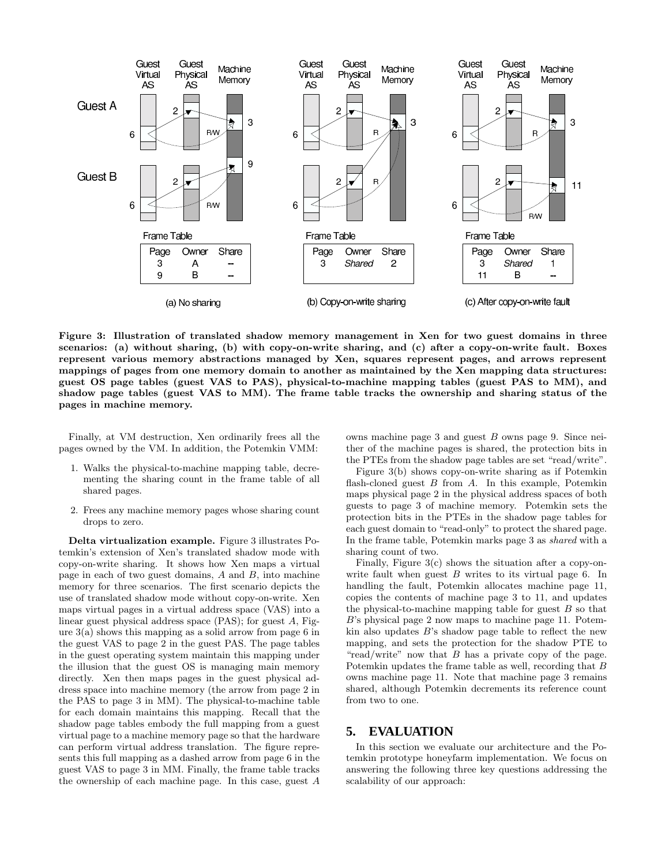

Figure 3: Illustration of translated shadow memory management in Xen for two guest domains in three scenarios: (a) without sharing, (b) with copy-on-write sharing, and (c) after a copy-on-write fault. Boxes represent various memory abstractions managed by Xen, squares represent pages, and arrows represent mappings of pages from one memory domain to another as maintained by the Xen mapping data structures: guest OS page tables (guest VAS to PAS), physical-to-machine mapping tables (guest PAS to MM), and shadow page tables (guest VAS to MM). The frame table tracks the ownership and sharing status of the pages in machine memory.

Finally, at VM destruction, Xen ordinarily frees all the pages owned by the VM. In addition, the Potemkin VMM:

- 1. Walks the physical-to-machine mapping table, decrementing the sharing count in the frame table of all shared pages.
- 2. Frees any machine memory pages whose sharing count drops to zero.

Delta virtualization example. Figure 3 illustrates Potemkin's extension of Xen's translated shadow mode with copy-on-write sharing. It shows how Xen maps a virtual page in each of two guest domains, A and B, into machine memory for three scenarios. The first scenario depicts the use of translated shadow mode without copy-on-write. Xen maps virtual pages in a virtual address space (VAS) into a linear guest physical address space (PAS); for guest A, Figure  $3(a)$  shows this mapping as a solid arrow from page 6 in the guest VAS to page 2 in the guest PAS. The page tables in the guest operating system maintain this mapping under the illusion that the guest OS is managing main memory directly. Xen then maps pages in the guest physical address space into machine memory (the arrow from page 2 in the PAS to page 3 in MM). The physical-to-machine table for each domain maintains this mapping. Recall that the shadow page tables embody the full mapping from a guest virtual page to a machine memory page so that the hardware can perform virtual address translation. The figure represents this full mapping as a dashed arrow from page 6 in the guest VAS to page 3 in MM. Finally, the frame table tracks the ownership of each machine page. In this case, guest A

owns machine page 3 and guest B owns page 9. Since neither of the machine pages is shared, the protection bits in the PTEs from the shadow page tables are set "read/write".

Figure 3(b) shows copy-on-write sharing as if Potemkin flash-cloned guest  $B$  from  $A$ . In this example, Potemkin maps physical page 2 in the physical address spaces of both guests to page 3 of machine memory. Potemkin sets the protection bits in the PTEs in the shadow page tables for each guest domain to "read-only" to protect the shared page. In the frame table, Potemkin marks page 3 as shared with a sharing count of two.

Finally, Figure 3(c) shows the situation after a copy-onwrite fault when guest  $B$  writes to its virtual page 6. In handling the fault, Potemkin allocates machine page 11, copies the contents of machine page 3 to 11, and updates the physical-to-machine mapping table for guest  $B$  so that B's physical page 2 now maps to machine page 11. Potemkin also updates  $B$ 's shadow page table to reflect the new mapping, and sets the protection for the shadow PTE to "read/write" now that  $B$  has a private copy of the page. Potemkin updates the frame table as well, recording that B owns machine page 11. Note that machine page 3 remains shared, although Potemkin decrements its reference count from two to one.

# **5. EVALUATION**

In this section we evaluate our architecture and the Potemkin prototype honeyfarm implementation. We focus on answering the following three key questions addressing the scalability of our approach: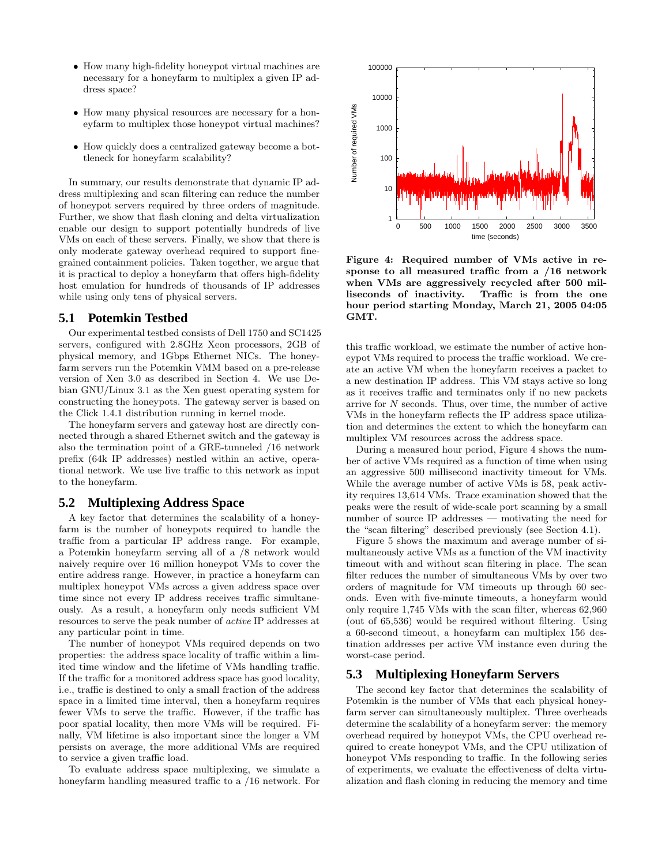- How many high-fidelity honeypot virtual machines are necessary for a honeyfarm to multiplex a given IP address space?
- How many physical resources are necessary for a honeyfarm to multiplex those honeypot virtual machines?
- How quickly does a centralized gateway become a bottleneck for honeyfarm scalability?

In summary, our results demonstrate that dynamic IP address multiplexing and scan filtering can reduce the number of honeypot servers required by three orders of magnitude. Further, we show that flash cloning and delta virtualization enable our design to support potentially hundreds of live VMs on each of these servers. Finally, we show that there is only moderate gateway overhead required to support finegrained containment policies. Taken together, we argue that it is practical to deploy a honeyfarm that offers high-fidelity host emulation for hundreds of thousands of IP addresses while using only tens of physical servers.

## **5.1 Potemkin Testbed**

Our experimental testbed consists of Dell 1750 and SC1425 servers, configured with 2.8GHz Xeon processors, 2GB of physical memory, and 1Gbps Ethernet NICs. The honeyfarm servers run the Potemkin VMM based on a pre-release version of Xen 3.0 as described in Section 4. We use Debian GNU/Linux 3.1 as the Xen guest operating system for constructing the honeypots. The gateway server is based on the Click 1.4.1 distribution running in kernel mode.

The honeyfarm servers and gateway host are directly connected through a shared Ethernet switch and the gateway is also the termination point of a GRE-tunneled /16 network prefix (64k IP addresses) nestled within an active, operational network. We use live traffic to this network as input to the honeyfarm.

# **5.2 Multiplexing Address Space**

A key factor that determines the scalability of a honeyfarm is the number of honeypots required to handle the traffic from a particular IP address range. For example, a Potemkin honeyfarm serving all of a /8 network would naively require over 16 million honeypot VMs to cover the entire address range. However, in practice a honeyfarm can multiplex honeypot VMs across a given address space over time since not every IP address receives traffic simultaneously. As a result, a honeyfarm only needs sufficient VM resources to serve the peak number of active IP addresses at any particular point in time.

The number of honeypot VMs required depends on two properties: the address space locality of traffic within a limited time window and the lifetime of VMs handling traffic. If the traffic for a monitored address space has good locality, i.e., traffic is destined to only a small fraction of the address space in a limited time interval, then a honeyfarm requires fewer VMs to serve the traffic. However, if the traffic has poor spatial locality, then more VMs will be required. Finally, VM lifetime is also important since the longer a VM persists on average, the more additional VMs are required to service a given traffic load.

To evaluate address space multiplexing, we simulate a honeyfarm handling measured traffic to a /16 network. For



Figure 4: Required number of VMs active in response to all measured traffic from a /16 network when VMs are aggressively recycled after 500 milliseconds of inactivity. Traffic is from the one hour period starting Monday, March 21, 2005 04:05 GMT.

this traffic workload, we estimate the number of active honeypot VMs required to process the traffic workload. We create an active VM when the honeyfarm receives a packet to a new destination IP address. This VM stays active so long as it receives traffic and terminates only if no new packets arrive for N seconds. Thus, over time, the number of active VMs in the honeyfarm reflects the IP address space utilization and determines the extent to which the honeyfarm can multiplex VM resources across the address space.

During a measured hour period, Figure 4 shows the number of active VMs required as a function of time when using an aggressive 500 millisecond inactivity timeout for VMs. While the average number of active VMs is 58, peak activity requires 13,614 VMs. Trace examination showed that the peaks were the result of wide-scale port scanning by a small number of source IP addresses — motivating the need for the "scan filtering" described previously (see Section 4.1).

Figure 5 shows the maximum and average number of simultaneously active VMs as a function of the VM inactivity timeout with and without scan filtering in place. The scan filter reduces the number of simultaneous VMs by over two orders of magnitude for VM timeouts up through 60 seconds. Even with five-minute timeouts, a honeyfarm would only require 1,745 VMs with the scan filter, whereas 62,960 (out of 65,536) would be required without filtering. Using a 60-second timeout, a honeyfarm can multiplex 156 destination addresses per active VM instance even during the worst-case period.

# **5.3 Multiplexing Honeyfarm Servers**

The second key factor that determines the scalability of Potemkin is the number of VMs that each physical honeyfarm server can simultaneously multiplex. Three overheads determine the scalability of a honeyfarm server: the memory overhead required by honeypot VMs, the CPU overhead required to create honeypot VMs, and the CPU utilization of honeypot VMs responding to traffic. In the following series of experiments, we evaluate the effectiveness of delta virtualization and flash cloning in reducing the memory and time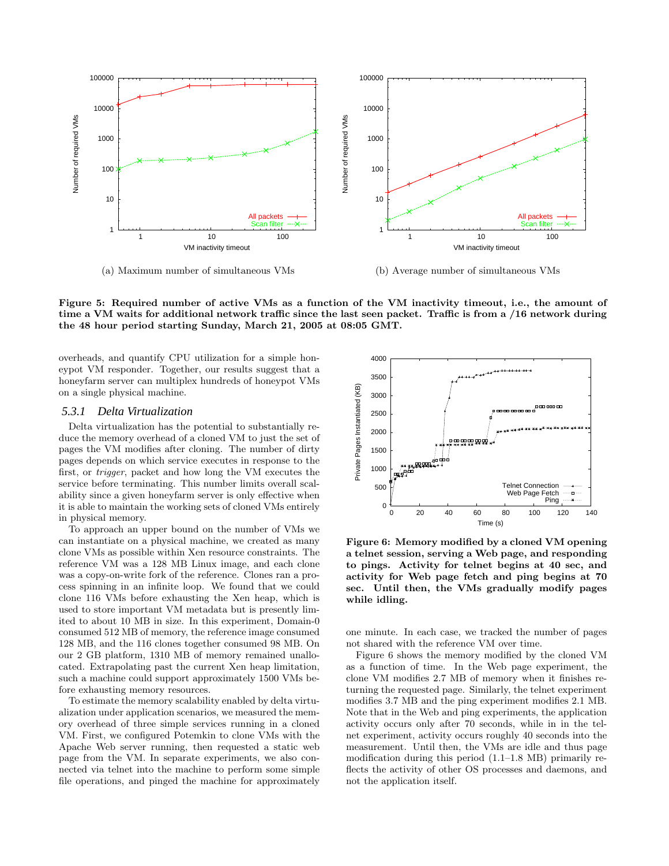

(b) Average number of simultaneous VMs

Figure 5: Required number of active VMs as a function of the VM inactivity timeout, i.e., the amount of time a VM waits for additional network traffic since the last seen packet. Traffic is from a /16 network during the 48 hour period starting Sunday, March 21, 2005 at 08:05 GMT.

overheads, and quantify CPU utilization for a simple honeypot VM responder. Together, our results suggest that a honeyfarm server can multiplex hundreds of honeypot VMs on a single physical machine.

#### *5.3.1 Delta Virtualization*

Delta virtualization has the potential to substantially reduce the memory overhead of a cloned VM to just the set of pages the VM modifies after cloning. The number of dirty pages depends on which service executes in response to the first, or trigger, packet and how long the VM executes the service before terminating. This number limits overall scalability since a given honeyfarm server is only effective when it is able to maintain the working sets of cloned VMs entirely in physical memory.

To approach an upper bound on the number of VMs we can instantiate on a physical machine, we created as many clone VMs as possible within Xen resource constraints. The reference VM was a 128 MB Linux image, and each clone was a copy-on-write fork of the reference. Clones ran a process spinning in an infinite loop. We found that we could clone 116 VMs before exhausting the Xen heap, which is used to store important VM metadata but is presently limited to about 10 MB in size. In this experiment, Domain-0 consumed 512 MB of memory, the reference image consumed 128 MB, and the 116 clones together consumed 98 MB. On our 2 GB platform, 1310 MB of memory remained unallocated. Extrapolating past the current Xen heap limitation, such a machine could support approximately 1500 VMs before exhausting memory resources.

To estimate the memory scalability enabled by delta virtualization under application scenarios, we measured the memory overhead of three simple services running in a cloned VM. First, we configured Potemkin to clone VMs with the Apache Web server running, then requested a static web page from the VM. In separate experiments, we also connected via telnet into the machine to perform some simple file operations, and pinged the machine for approximately



Figure 6: Memory modified by a cloned VM opening a telnet session, serving a Web page, and responding to pings. Activity for telnet begins at 40 sec, and activity for Web page fetch and ping begins at 70 sec. Until then, the VMs gradually modify pages while idling.

one minute. In each case, we tracked the number of pages not shared with the reference VM over time.

Figure 6 shows the memory modified by the cloned VM as a function of time. In the Web page experiment, the clone VM modifies 2.7 MB of memory when it finishes returning the requested page. Similarly, the telnet experiment modifies 3.7 MB and the ping experiment modifies 2.1 MB. Note that in the Web and ping experiments, the application activity occurs only after 70 seconds, while in in the telnet experiment, activity occurs roughly 40 seconds into the measurement. Until then, the VMs are idle and thus page modification during this period (1.1–1.8 MB) primarily reflects the activity of other OS processes and daemons, and not the application itself.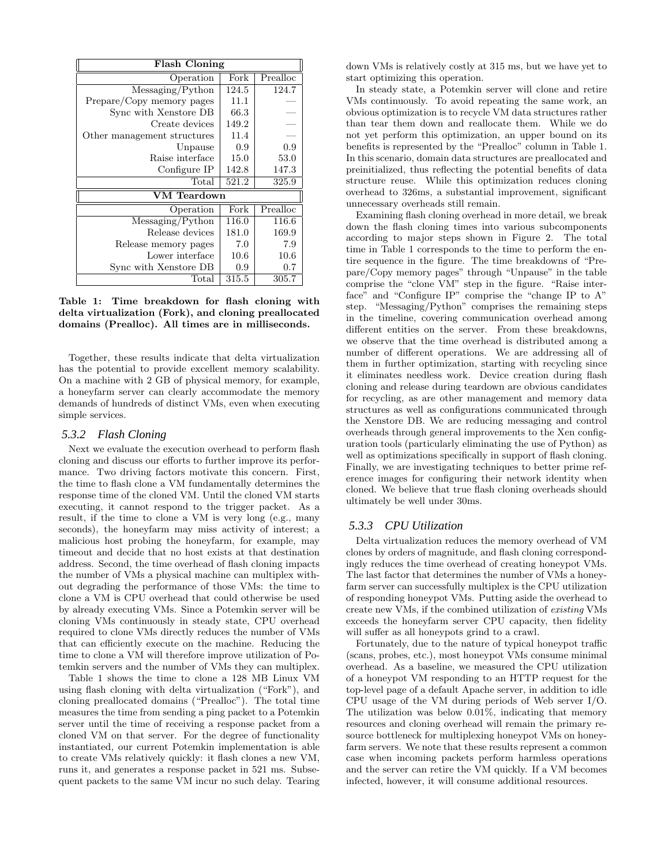| <b>Flash Cloning</b>        |       |          |
|-----------------------------|-------|----------|
| Operation                   | Fork  | Prealloc |
| Message/Python              | 124.5 | 124.7    |
| Prepare/Copy memory pages   | 11.1  |          |
| Sync with Xenstore DB       | 66.3  |          |
| Create devices              | 149.2 |          |
| Other management structures | 11.4  |          |
| Unpause                     | 0.9   | 0.9      |
| Raise interface             | 15.0  | 53.0     |
| Configure IP                | 142.8 | 147.3    |
| Total                       | 521.2 | 325.9    |
| VM Teardown                 |       |          |
| Operation                   | Fork  | Prealloc |
| Message/Python              | 116.0 | 116.6    |
| Release devices             | 181.0 | 169.9    |
| Release memory pages        | 7.0   | 7.9      |
| Lower interface             | 10.6  | 10.6     |
| Sync with Xenstore DB       | 0.9   | 0.7      |
| $_{\rm Total}$              | 315.5 | 305.7    |

Table 1: Time breakdown for flash cloning with delta virtualization (Fork), and cloning preallocated domains (Prealloc). All times are in milliseconds.

Together, these results indicate that delta virtualization has the potential to provide excellent memory scalability. On a machine with 2 GB of physical memory, for example, a honeyfarm server can clearly accommodate the memory demands of hundreds of distinct VMs, even when executing simple services.

#### *5.3.2 Flash Cloning*

Next we evaluate the execution overhead to perform flash cloning and discuss our efforts to further improve its performance. Two driving factors motivate this concern. First, the time to flash clone a VM fundamentally determines the response time of the cloned VM. Until the cloned VM starts executing, it cannot respond to the trigger packet. As a result, if the time to clone a VM is very long (e.g., many seconds), the honeyfarm may miss activity of interest; a malicious host probing the honeyfarm, for example, may timeout and decide that no host exists at that destination address. Second, the time overhead of flash cloning impacts the number of VMs a physical machine can multiplex without degrading the performance of those VMs: the time to clone a VM is CPU overhead that could otherwise be used by already executing VMs. Since a Potemkin server will be cloning VMs continuously in steady state, CPU overhead required to clone VMs directly reduces the number of VMs that can efficiently execute on the machine. Reducing the time to clone a VM will therefore improve utilization of Potemkin servers and the number of VMs they can multiplex.

Table 1 shows the time to clone a 128 MB Linux VM using flash cloning with delta virtualization ("Fork"), and cloning preallocated domains ("Prealloc"). The total time measures the time from sending a ping packet to a Potemkin server until the time of receiving a response packet from a cloned VM on that server. For the degree of functionality instantiated, our current Potemkin implementation is able to create VMs relatively quickly: it flash clones a new VM, runs it, and generates a response packet in 521 ms. Subsequent packets to the same VM incur no such delay. Tearing down VMs is relatively costly at 315 ms, but we have yet to start optimizing this operation.

In steady state, a Potemkin server will clone and retire VMs continuously. To avoid repeating the same work, an obvious optimization is to recycle VM data structures rather than tear them down and reallocate them. While we do not yet perform this optimization, an upper bound on its benefits is represented by the "Prealloc" column in Table 1. In this scenario, domain data structures are preallocated and preinitialized, thus reflecting the potential benefits of data structure reuse. While this optimization reduces cloning overhead to 326ms, a substantial improvement, significant unnecessary overheads still remain.

Examining flash cloning overhead in more detail, we break down the flash cloning times into various subcomponents according to major steps shown in Figure 2. The total time in Table 1 corresponds to the time to perform the entire sequence in the figure. The time breakdowns of "Prepare/Copy memory pages" through "Unpause" in the table comprise the "clone VM" step in the figure. "Raise interface" and "Configure IP" comprise the "change IP to A" step. "Messaging/Python" comprises the remaining steps in the timeline, covering communication overhead among different entities on the server. From these breakdowns, we observe that the time overhead is distributed among a number of different operations. We are addressing all of them in further optimization, starting with recycling since it eliminates needless work. Device creation during flash cloning and release during teardown are obvious candidates for recycling, as are other management and memory data structures as well as configurations communicated through the Xenstore DB. We are reducing messaging and control overheads through general improvements to the Xen configuration tools (particularly eliminating the use of Python) as well as optimizations specifically in support of flash cloning. Finally, we are investigating techniques to better prime reference images for configuring their network identity when cloned. We believe that true flash cloning overheads should ultimately be well under 30ms.

# *5.3.3 CPU Utilization*

Delta virtualization reduces the memory overhead of VM clones by orders of magnitude, and flash cloning correspondingly reduces the time overhead of creating honeypot VMs. The last factor that determines the number of VMs a honeyfarm server can successfully multiplex is the CPU utilization of responding honeypot VMs. Putting aside the overhead to create new VMs, if the combined utilization of existing VMs exceeds the honeyfarm server CPU capacity, then fidelity will suffer as all honeypots grind to a crawl.

Fortunately, due to the nature of typical honeypot traffic (scans, probes, etc.), most honeypot VMs consume minimal overhead. As a baseline, we measured the CPU utilization of a honeypot VM responding to an HTTP request for the top-level page of a default Apache server, in addition to idle CPU usage of the VM during periods of Web server I/O. The utilization was below 0.01%, indicating that memory resources and cloning overhead will remain the primary resource bottleneck for multiplexing honeypot VMs on honeyfarm servers. We note that these results represent a common case when incoming packets perform harmless operations and the server can retire the VM quickly. If a VM becomes infected, however, it will consume additional resources.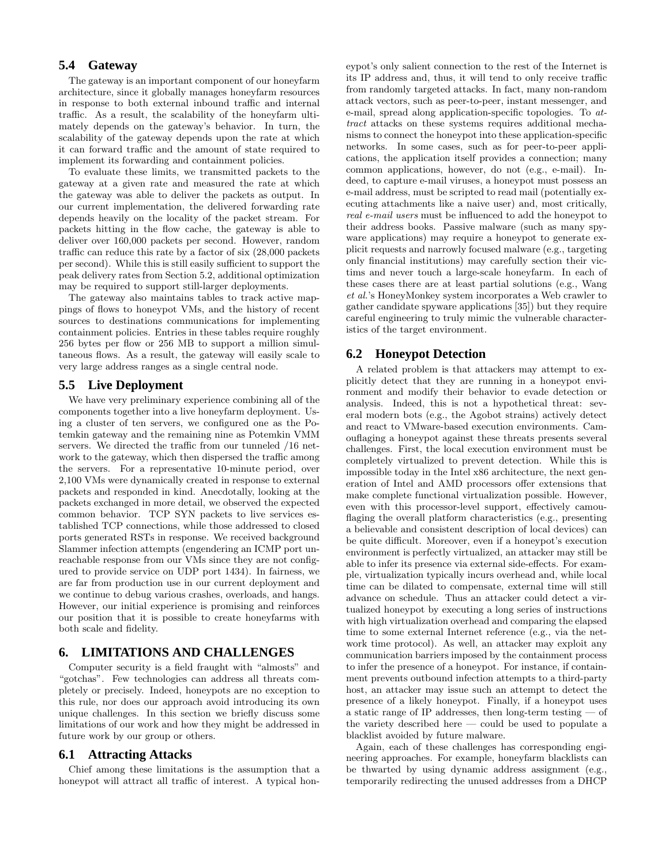# **5.4 Gateway**

The gateway is an important component of our honeyfarm architecture, since it globally manages honeyfarm resources in response to both external inbound traffic and internal traffic. As a result, the scalability of the honeyfarm ultimately depends on the gateway's behavior. In turn, the scalability of the gateway depends upon the rate at which it can forward traffic and the amount of state required to implement its forwarding and containment policies.

To evaluate these limits, we transmitted packets to the gateway at a given rate and measured the rate at which the gateway was able to deliver the packets as output. In our current implementation, the delivered forwarding rate depends heavily on the locality of the packet stream. For packets hitting in the flow cache, the gateway is able to deliver over 160,000 packets per second. However, random traffic can reduce this rate by a factor of six (28,000 packets per second). While this is still easily sufficient to support the peak delivery rates from Section 5.2, additional optimization may be required to support still-larger deployments.

The gateway also maintains tables to track active mappings of flows to honeypot VMs, and the history of recent sources to destinations communications for implementing containment policies. Entries in these tables require roughly 256 bytes per flow or 256 MB to support a million simultaneous flows. As a result, the gateway will easily scale to very large address ranges as a single central node.

# **5.5 Live Deployment**

We have very preliminary experience combining all of the components together into a live honeyfarm deployment. Using a cluster of ten servers, we configured one as the Potemkin gateway and the remaining nine as Potemkin VMM servers. We directed the traffic from our tunneled /16 network to the gateway, which then dispersed the traffic among the servers. For a representative 10-minute period, over 2,100 VMs were dynamically created in response to external packets and responded in kind. Anecdotally, looking at the packets exchanged in more detail, we observed the expected common behavior. TCP SYN packets to live services established TCP connections, while those addressed to closed ports generated RSTs in response. We received background Slammer infection attempts (engendering an ICMP port unreachable response from our VMs since they are not configured to provide service on UDP port 1434). In fairness, we are far from production use in our current deployment and we continue to debug various crashes, overloads, and hangs. However, our initial experience is promising and reinforces our position that it is possible to create honeyfarms with both scale and fidelity.

# **6. LIMITATIONS AND CHALLENGES**

Computer security is a field fraught with "almosts" and "gotchas". Few technologies can address all threats completely or precisely. Indeed, honeypots are no exception to this rule, nor does our approach avoid introducing its own unique challenges. In this section we briefly discuss some limitations of our work and how they might be addressed in future work by our group or others.

#### **6.1 Attracting Attacks**

Chief among these limitations is the assumption that a honeypot will attract all traffic of interest. A typical honeypot's only salient connection to the rest of the Internet is its IP address and, thus, it will tend to only receive traffic from randomly targeted attacks. In fact, many non-random attack vectors, such as peer-to-peer, instant messenger, and e-mail, spread along application-specific topologies. To attract attacks on these systems requires additional mechanisms to connect the honeypot into these application-specific networks. In some cases, such as for peer-to-peer applications, the application itself provides a connection; many common applications, however, do not (e.g., e-mail). Indeed, to capture e-mail viruses, a honeypot must possess an e-mail address, must be scripted to read mail (potentially executing attachments like a naive user) and, most critically, real e-mail users must be influenced to add the honeypot to their address books. Passive malware (such as many spyware applications) may require a honeypot to generate explicit requests and narrowly focused malware (e.g., targeting only financial institutions) may carefully section their victims and never touch a large-scale honeyfarm. In each of these cases there are at least partial solutions (e.g., Wang et al.'s HoneyMonkey system incorporates a Web crawler to gather candidate spyware applications [35]) but they require careful engineering to truly mimic the vulnerable characteristics of the target environment.

### **6.2 Honeypot Detection**

A related problem is that attackers may attempt to explicitly detect that they are running in a honeypot environment and modify their behavior to evade detection or analysis. Indeed, this is not a hypothetical threat: several modern bots (e.g., the Agobot strains) actively detect and react to VMware-based execution environments. Camouflaging a honeypot against these threats presents several challenges. First, the local execution environment must be completely virtualized to prevent detection. While this is impossible today in the Intel x86 architecture, the next generation of Intel and AMD processors offer extensions that make complete functional virtualization possible. However, even with this processor-level support, effectively camouflaging the overall platform characteristics (e.g., presenting a believable and consistent description of local devices) can be quite difficult. Moreover, even if a honeypot's execution environment is perfectly virtualized, an attacker may still be able to infer its presence via external side-effects. For example, virtualization typically incurs overhead and, while local time can be dilated to compensate, external time will still advance on schedule. Thus an attacker could detect a virtualized honeypot by executing a long series of instructions with high virtualization overhead and comparing the elapsed time to some external Internet reference (e.g., via the network time protocol). As well, an attacker may exploit any communication barriers imposed by the containment process to infer the presence of a honeypot. For instance, if containment prevents outbound infection attempts to a third-party host, an attacker may issue such an attempt to detect the presence of a likely honeypot. Finally, if a honeypot uses a static range of IP addresses, then long-term testing  $-$  of the variety described here — could be used to populate a blacklist avoided by future malware.

Again, each of these challenges has corresponding engineering approaches. For example, honeyfarm blacklists can be thwarted by using dynamic address assignment (e.g., temporarily redirecting the unused addresses from a DHCP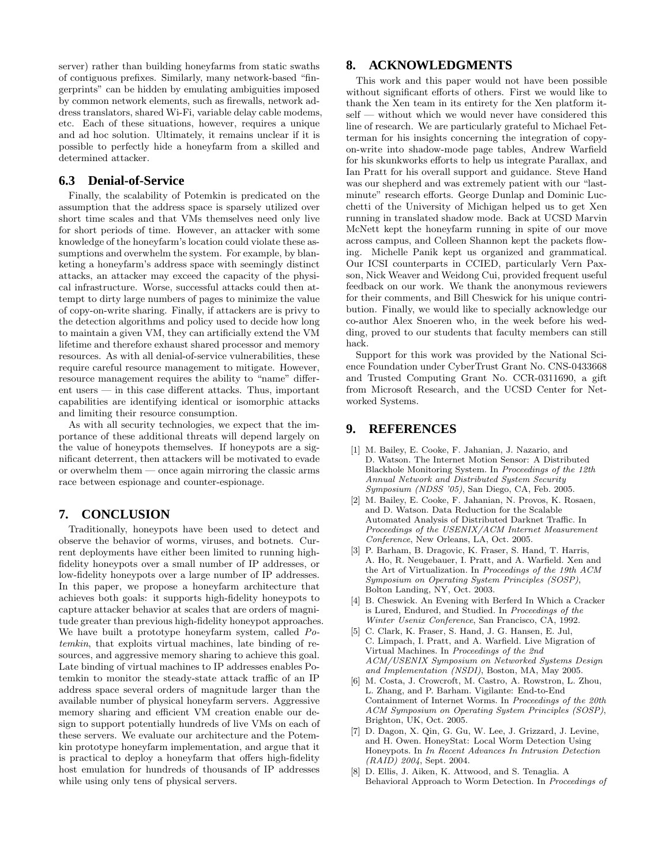server) rather than building honeyfarms from static swaths of contiguous prefixes. Similarly, many network-based "fingerprints" can be hidden by emulating ambiguities imposed by common network elements, such as firewalls, network address translators, shared Wi-Fi, variable delay cable modems, etc. Each of these situations, however, requires a unique and ad hoc solution. Ultimately, it remains unclear if it is possible to perfectly hide a honeyfarm from a skilled and determined attacker.

### **6.3 Denial-of-Service**

Finally, the scalability of Potemkin is predicated on the assumption that the address space is sparsely utilized over short time scales and that VMs themselves need only live for short periods of time. However, an attacker with some knowledge of the honeyfarm's location could violate these assumptions and overwhelm the system. For example, by blanketing a honeyfarm's address space with seemingly distinct attacks, an attacker may exceed the capacity of the physical infrastructure. Worse, successful attacks could then attempt to dirty large numbers of pages to minimize the value of copy-on-write sharing. Finally, if attackers are is privy to the detection algorithms and policy used to decide how long to maintain a given VM, they can artificially extend the VM lifetime and therefore exhaust shared processor and memory resources. As with all denial-of-service vulnerabilities, these require careful resource management to mitigate. However, resource management requires the ability to "name" different users — in this case different attacks. Thus, important capabilities are identifying identical or isomorphic attacks and limiting their resource consumption.

As with all security technologies, we expect that the importance of these additional threats will depend largely on the value of honeypots themselves. If honeypots are a significant deterrent, then attackers will be motivated to evade or overwhelm them — once again mirroring the classic arms race between espionage and counter-espionage.

## **7. CONCLUSION**

Traditionally, honeypots have been used to detect and observe the behavior of worms, viruses, and botnets. Current deployments have either been limited to running highfidelity honeypots over a small number of IP addresses, or low-fidelity honeypots over a large number of IP addresses. In this paper, we propose a honeyfarm architecture that achieves both goals: it supports high-fidelity honeypots to capture attacker behavior at scales that are orders of magnitude greater than previous high-fidelity honeypot approaches. We have built a prototype honeyfarm system, called Potemkin, that exploits virtual machines, late binding of resources, and aggressive memory sharing to achieve this goal. Late binding of virtual machines to IP addresses enables Potemkin to monitor the steady-state attack traffic of an IP address space several orders of magnitude larger than the available number of physical honeyfarm servers. Aggressive memory sharing and efficient VM creation enable our design to support potentially hundreds of live VMs on each of these servers. We evaluate our architecture and the Potemkin prototype honeyfarm implementation, and argue that it is practical to deploy a honeyfarm that offers high-fidelity host emulation for hundreds of thousands of IP addresses while using only tens of physical servers.

# **8. ACKNOWLEDGMENTS**

This work and this paper would not have been possible without significant efforts of others. First we would like to thank the Xen team in its entirety for the Xen platform itself — without which we would never have considered this line of research. We are particularly grateful to Michael Fetterman for his insights concerning the integration of copyon-write into shadow-mode page tables, Andrew Warfield for his skunkworks efforts to help us integrate Parallax, and Ian Pratt for his overall support and guidance. Steve Hand was our shepherd and was extremely patient with our "lastminute" research efforts. George Dunlap and Dominic Lucchetti of the University of Michigan helped us to get Xen running in translated shadow mode. Back at UCSD Marvin McNett kept the honeyfarm running in spite of our move across campus, and Colleen Shannon kept the packets flowing. Michelle Panik kept us organized and grammatical. Our ICSI counterparts in CCIED, particularly Vern Paxson, Nick Weaver and Weidong Cui, provided frequent useful feedback on our work. We thank the anonymous reviewers for their comments, and Bill Cheswick for his unique contribution. Finally, we would like to specially acknowledge our co-author Alex Snoeren who, in the week before his wedding, proved to our students that faculty members can still hack.

Support for this work was provided by the National Science Foundation under CyberTrust Grant No. CNS-0433668 and Trusted Computing Grant No. CCR-0311690, a gift from Microsoft Research, and the UCSD Center for Networked Systems.

# **9. REFERENCES**

- [1] M. Bailey, E. Cooke, F. Jahanian, J. Nazario, and D. Watson. The Internet Motion Sensor: A Distributed Blackhole Monitoring System. In Proceedings of the 12th Annual Network and Distributed System Security Symposium (NDSS '05), San Diego, CA, Feb. 2005.
- [2] M. Bailey, E. Cooke, F. Jahanian, N. Provos, K. Rosaen, and D. Watson. Data Reduction for the Scalable Automated Analysis of Distributed Darknet Traffic. In Proceedings of the USENIX/ACM Internet Measurement Conference, New Orleans, LA, Oct. 2005.
- [3] P. Barham, B. Dragovic, K. Fraser, S. Hand, T. Harris, A. Ho, R. Neugebauer, I. Pratt, and A. Warfield. Xen and the Art of Virtualization. In Proceedings of the 19th ACM Symposium on Operating System Principles (SOSP), Bolton Landing, NY, Oct. 2003.
- [4] B. Cheswick. An Evening with Berferd In Which a Cracker is Lured, Endured, and Studied. In Proceedings of the Winter Usenix Conference, San Francisco, CA, 1992.
- [5] C. Clark, K. Fraser, S. Hand, J. G. Hansen, E. Jul, C. Limpach, I. Pratt, and A. Warfield. Live Migration of Virtual Machines. In Proceedings of the 2nd ACM/USENIX Symposium on Networked Systems Design and Implementation (NSDI), Boston, MA, May 2005.
- [6] M. Costa, J. Crowcroft, M. Castro, A. Rowstron, L. Zhou, L. Zhang, and P. Barham. Vigilante: End-to-End Containment of Internet Worms. In Proceedings of the 20th ACM Symposium on Operating System Principles (SOSP), Brighton, UK, Oct. 2005.
- [7] D. Dagon, X. Qin, G. Gu, W. Lee, J. Grizzard, J. Levine, and H. Owen. HoneyStat: Local Worm Detection Using Honeypots. In In Recent Advances In Intrusion Detection (RAID) 2004, Sept. 2004.
- [8] D. Ellis, J. Aiken, K. Attwood, and S. Tenaglia. A Behavioral Approach to Worm Detection. In Proceedings of